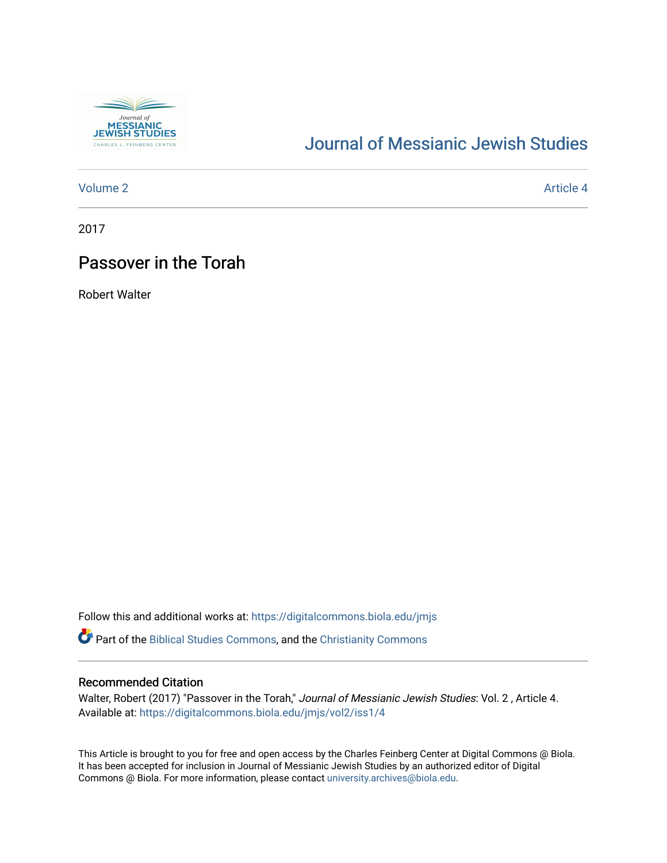

# [Journal of Messianic Jewish Studies](https://digitalcommons.biola.edu/jmjs)

# [Volume 2](https://digitalcommons.biola.edu/jmjs/vol2) Article 4

2017

# Passover in the Torah

Robert Walter

Follow this and additional works at: [https://digitalcommons.biola.edu/jmjs](https://digitalcommons.biola.edu/jmjs?utm_source=digitalcommons.biola.edu%2Fjmjs%2Fvol2%2Fiss1%2F4&utm_medium=PDF&utm_campaign=PDFCoverPages)

Part of the [Biblical Studies Commons,](http://network.bepress.com/hgg/discipline/539?utm_source=digitalcommons.biola.edu%2Fjmjs%2Fvol2%2Fiss1%2F4&utm_medium=PDF&utm_campaign=PDFCoverPages) and the [Christianity Commons](http://network.bepress.com/hgg/discipline/1181?utm_source=digitalcommons.biola.edu%2Fjmjs%2Fvol2%2Fiss1%2F4&utm_medium=PDF&utm_campaign=PDFCoverPages)

# Recommended Citation

Walter, Robert (2017) "Passover in the Torah," Journal of Messianic Jewish Studies: Vol. 2, Article 4. Available at: [https://digitalcommons.biola.edu/jmjs/vol2/iss1/4](https://digitalcommons.biola.edu/jmjs/vol2/iss1/4?utm_source=digitalcommons.biola.edu%2Fjmjs%2Fvol2%2Fiss1%2F4&utm_medium=PDF&utm_campaign=PDFCoverPages) 

This Article is brought to you for free and open access by the Charles Feinberg Center at Digital Commons @ Biola. It has been accepted for inclusion in Journal of Messianic Jewish Studies by an authorized editor of Digital Commons @ Biola. For more information, please contact [university.archives@biola.edu.](mailto:university.archives@biola.edu)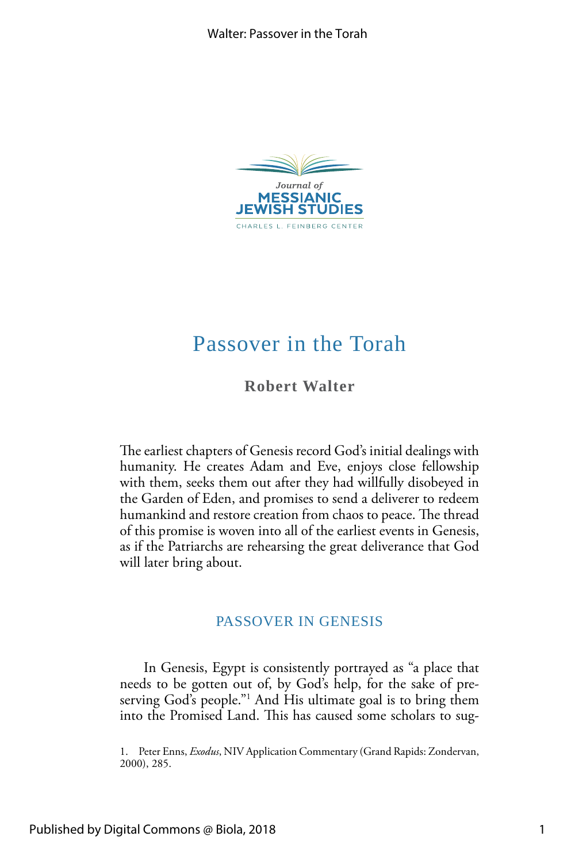

# Passover in the Torah

**Robert Walter** 

The earliest chapters of Genesis record God's initial dealings with humanity. He creates Adam and Eve, enjoys close fellowship with them, seeks them out after they had willfully disobeyed in the Garden of Eden, and promises to send a deliverer to redeem humankind and restore creation from chaos to peace. The thread of this promise is woven into all of the earliest events in Genesis, as if the Patriarchs are rehearsing the great deliverance that God will later bring about.

# PASSOVER IN GENESIS

In Genesis, Egypt is consistently portrayed as "a place that needs to be gotten out of, by God's help, for the sake of preserving God's people."1 And His ultimate goal is to bring them into the Promised Land. This has caused some scholars to sug-

1. Peter Enns, *Exodus*, NIV Application Commentary (Grand Rapids: Zondervan, 2000), 285.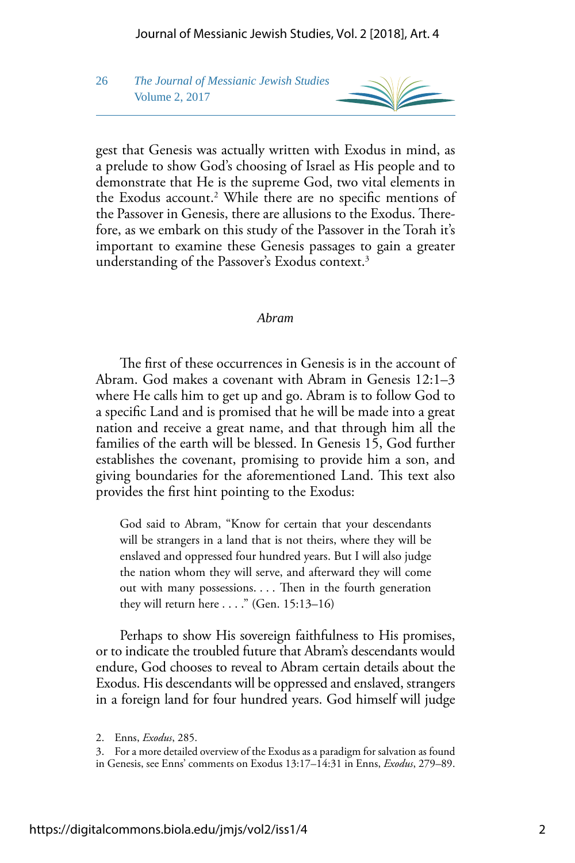26 *The Journal of Messianic Jewish Studies* Volume 2, 2017



gest that Genesis was actually written with Exodus in mind, as a prelude to show God's choosing of Israel as His people and to demonstrate that He is the supreme God, two vital elements in the Exodus account.2 While there are no specifc mentions of the Passover in Genesis, there are allusions to the Exodus. Therefore, as we embark on this study of the Passover in the Torah it's important to examine these Genesis passages to gain a greater understanding of the Passover's Exodus context.<sup>3</sup>

#### *Abram*

The first of these occurrences in Genesis is in the account of Abram. God makes a covenant with Abram in Genesis 12:1–3 where He calls him to get up and go. Abram is to follow God to a specifc Land and is promised that he will be made into a great nation and receive a great name, and that through him all the families of the earth will be blessed. In Genesis 15, God further establishes the covenant, promising to provide him a son, and giving boundaries for the aforementioned Land. This text also provides the frst hint pointing to the Exodus:

out with many possessions. . . . Then in the fourth generation they will return here . . . ." (Gen. 15:13–16) God said to Abram, "Know for certain that your descendants will be strangers in a land that is not theirs, where they will be enslaved and oppressed four hundred years. But I will also judge the nation whom they will serve, and afterward they will come

Perhaps to show His sovereign faithfulness to His promises, or to indicate the troubled future that Abram's descendants would endure, God chooses to reveal to Abram certain details about the Exodus. His descendants will be oppressed and enslaved, strangers in a foreign land for four hundred years. God himself will judge

3. For a more detailed overview of the Exodus as a paradigm for salvation as found in Genesis, see Enns' comments on Exodus 13:17–14:31 in Enns, *Exodus*, 279–89.

<sup>2.</sup> Enns, *Exodus*, 285.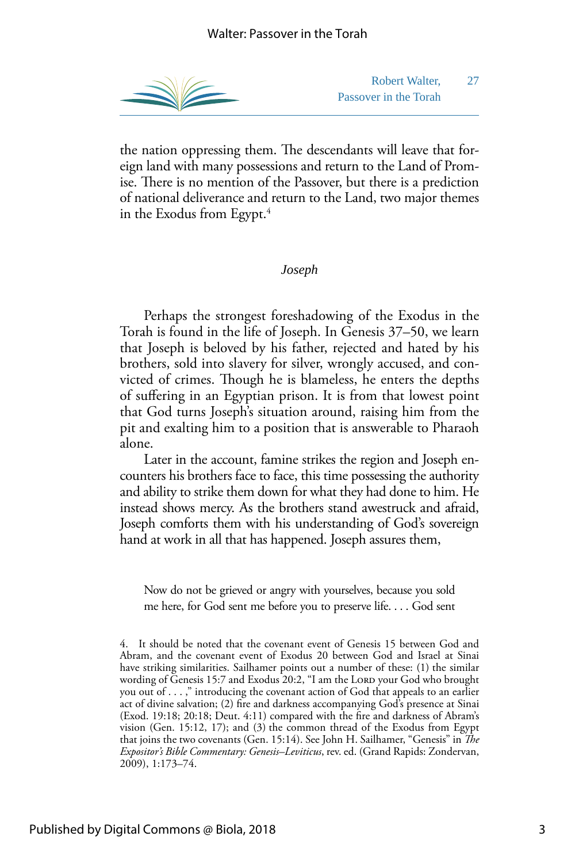

Robert Walter, 27 Passover in the Torah

the nation oppressing them. The descendants will leave that foreign land with many possessions and return to the Land of Promise. There is no mention of the Passover, but there is a prediction of national deliverance and return to the Land, two major themes in the Exodus from Egypt. $4$ 

#### *Joseph*

Perhaps the strongest foreshadowing of the Exodus in the Torah is found in the life of Joseph. In Genesis 37–50, we learn that Joseph is beloved by his father, rejected and hated by his brothers, sold into slavery for silver, wrongly accused, and convicted of crimes. Though he is blameless, he enters the depths of sufering in an Egyptian prison. It is from that lowest point that God turns Joseph's situation around, raising him from the pit and exalting him to a position that is answerable to Pharaoh alone.

Later in the account, famine strikes the region and Joseph encounters his brothers face to face, this time possessing the authority and ability to strike them down for what they had done to him. He instead shows mercy. As the brothers stand awestruck and afraid, Joseph comforts them with his understanding of God's sovereign hand at work in all that has happened. Joseph assures them,

 me here, for God sent me before you to preserve life. . . . God sent Now do not be grieved or angry with yourselves, because you sold

 you out of . . . ," introducing the covenant action of God that appeals to an earlier 4. It should be noted that the covenant event of Genesis 15 between God and Abram, and the covenant event of Exodus 20 between God and Israel at Sinai have striking similarities. Sailhamer points out a number of these: (1) the similar wording of Genesis 15:7 and Exodus 20:2, "I am the LORD your God who brought act of divine salvation; (2) fre and darkness accompanying God's presence at Sinai (Exod. 19:18; 20:18; Deut. 4:11) compared with the fre and darkness of Abram's vision (Gen. 15:12, 17); and (3) the common thread of the Exodus from Egypt that joins the two covenants (Gen. 15:14). See John H. Sailhamer, "Genesis" in *The Expositor's Bible Commentary: Genesis–Leviticus*, rev. ed. (Grand Rapids: Zondervan, 2009), 1:173–74.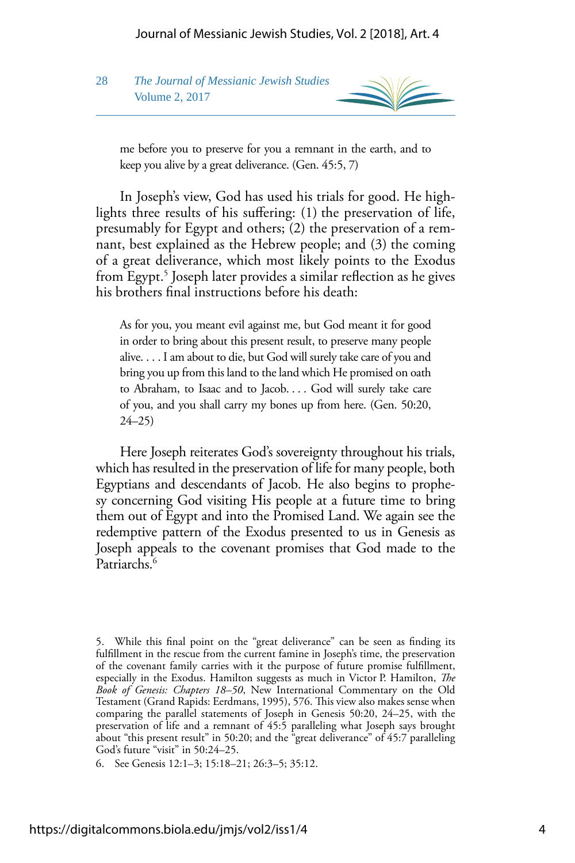



me before you to preserve for you a remnant in the earth, and to keep you alive by a great deliverance. (Gen. 45:5, 7)

In Joseph's view, God has used his trials for good. He highlights three results of his sufering: (1) the preservation of life, presumably for Egypt and others; (2) the preservation of a remnant, best explained as the Hebrew people; and (3) the coming of a great deliverance, which most likely points to the Exodus from Egypt.5 Joseph later provides a similar refection as he gives his brothers fnal instructions before his death:

 alive. . . . I am about to die, but God will surely take care of you and to Abraham, to Isaac and to Jacob. . . . God will surely take care As for you, you meant evil against me, but God meant it for good in order to bring about this present result, to preserve many people bring you up from this land to the land which He promised on oath of you, and you shall carry my bones up from here. (Gen. 50:20, 24–25)

Here Joseph reiterates God's sovereignty throughout his trials, which has resulted in the preservation of life for many people, both Egyptians and descendants of Jacob. He also begins to prophesy concerning God visiting His people at a future time to bring them out of Egypt and into the Promised Land. We again see the redemptive pattern of the Exodus presented to us in Genesis as Joseph appeals to the covenant promises that God made to the Patriarchs.<sup>6</sup>

6. See Genesis 12:1–3; 15:18–21; 26:3–5; 35:12.

<sup>5.</sup> While this fnal point on the "great deliverance" can be seen as fnding its fulfllment in the rescue from the current famine in Joseph's time, the preservation of the covenant family carries with it the purpose of future promise fulfllment, especially in the Exodus. Hamilton suggests as much in Victor P. Hamilton, *The Book of Genesis: Chapters 18–50*, New International Commentary on the Old Testament (Grand Rapids: Eerdmans, 1995), 576. This view also makes sense when comparing the parallel statements of Joseph in Genesis 50:20, 24–25, with the preservation of life and a remnant of 45:5 paralleling what Joseph says brought about "this present result" in 50:20; and the "great deliverance" of 45:7 paralleling God's future "visit" in 50:24–25.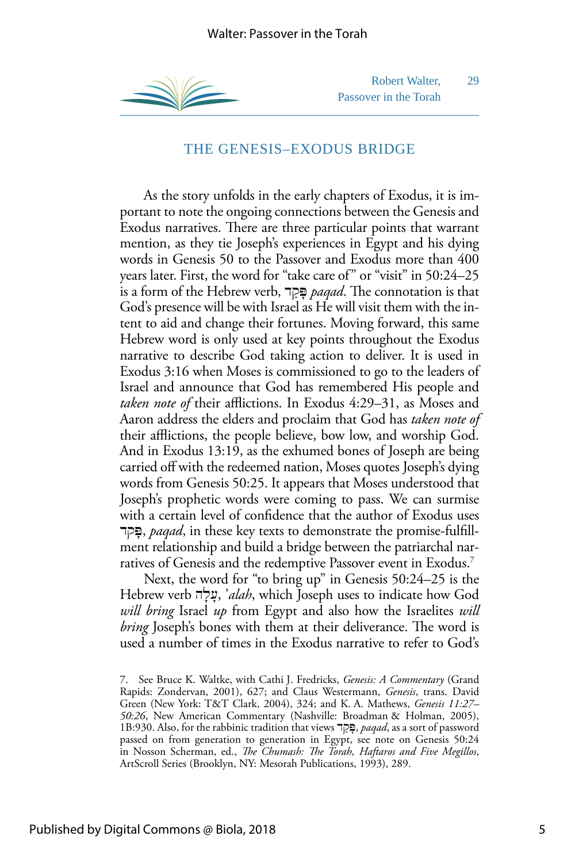

Robert Walter, 29 Passover in the Torah

## THE GENESIS–EXODUS BRIDGE

As the story unfolds in the early chapters of Exodus, it is important to note the ongoing connections between the Genesis and Exodus narratives. There are three particular points that warrant mention, as they tie Joseph's experiences in Egypt and his dying words in Genesis 50 to the Passover and Exodus more than 400 years later. First, the word for "take care of" or "visit" in 50:24–25 is a form of the Hebrew verb, ָפַּדק *paqad* . Te connotation is that God's presence will be with Israel as He will visit them with the intent to aid and change their fortunes. Moving forward, this same Hebrew word is only used at key points throughout the Exodus narrative to describe God taking action to deliver. It is used in Exodus 3:16 when Moses is commissioned to go to the leaders of Israel and announce that God has remembered His people and *taken note of their afflictions. In Exodus 4:29–31, as Moses and* Aaron address the elders and proclaim that God has *taken note of*  their afflictions, the people believe, bow low, and worship God. And in Exodus 13:19, as the exhumed bones of Joseph are being carried off with the redeemed nation, Moses quotes Joseph's dying words from Genesis 50:25. It appears that Moses understood that Joseph's prophetic words were coming to pass. We can surmise with a certain level of confdence that the author of Exodus uses דק ָפּ, *paqad*, in these key texts to demonstrate the promise-fulfllment relationship and build a bridge between the patriarchal narratives of Genesis and the redemptive Passover event in Exodus.<sup>7</sup>

Next, the word for "to bring up" in Genesis 50:24–25 is the Hebrew verb ָעָהל ,' *alah*, which Joseph uses to indicate how God *will bring* Israel *up* from Egypt and also how the Israelites *will bring* Joseph's bones with them at their deliverance. The word is used a number of times in the Exodus narrative to refer to God's

<sup>7.</sup> See Bruce K. Waltke, with Cathi J. Fredricks, *Genesis: A Commentary* (Grand Rapids: Zondervan, 2001), 627; and Claus Westermann, *Genesis*, trans. David Green (New York: T&T Clark, 2004), 324; and K. A. Mathews, *Genesis 11:27– 50:26*, New American Commentary (Nashville: Broadman & Holman, 2005), 1B:930. Also, for the rabbinic tradition that views ָפַּדק , *paqad*, as a sort of password passed on from generation to generation in Egypt, see note on Genesis 50:24 in Nosson Scherman, ed., *The Chumash: The Torah, Haftaros and Five Megillos*, ArtScroll Series (Brooklyn, NY: Mesorah Publications, 1993), 289.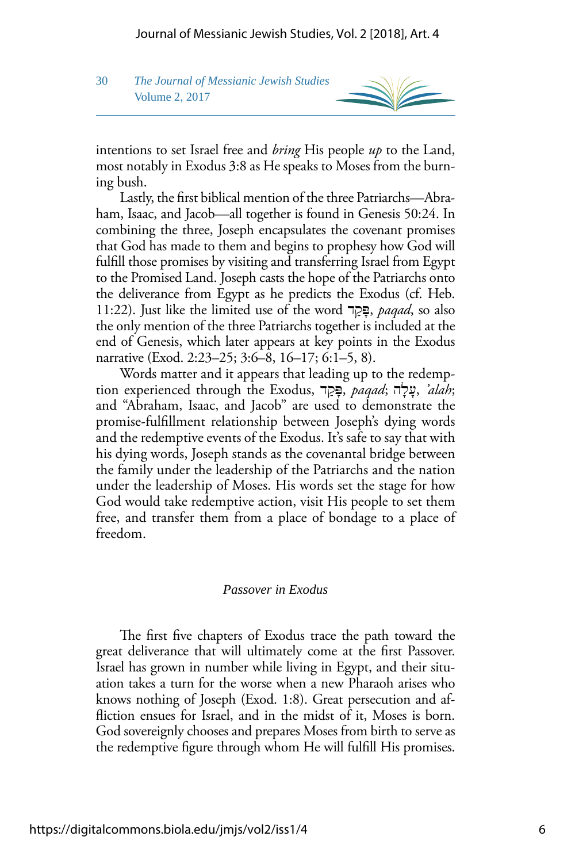### 30 *The Journal of Messianic Jewish Studies* Volume 2, 2017



intentions to set Israel free and *bring* His people *up* to the Land, most notably in Exodus 3:8 as He speaks to Moses from the burning bush.

Lastly, the frst biblical mention of the three Patriarchs—Abraham, Isaac, and Jacob—all together is found in Genesis 50:24. In combining the three, Joseph encapsulates the covenant promises that God has made to them and begins to prophesy how God will fulfll those promises by visiting and transferring Israel from Egypt to the Promised Land. Joseph casts the hope of the Patriarchs onto the deliverance from Egypt as he predicts the Exodus (cf. Heb. 11:22). Just like the limited use of the word ָפַּדק , *paqad*, so also the only mention of the three Patriarchs together is included at the end of Genesis, which later appears at key points in the Exodus narrative (Exod. 2:23–25; 3:6–8, 16–17; 6:1–5, 8).

Words matter and it appears that leading up to the redemption experienced through the Exodus, פַּדק ָ , *paqad*; ָעָהל ,*' alah*; and "Abraham, Isaac, and Jacob" are used to demonstrate the promise-fulfllment relationship between Joseph's dying words and the redemptive events of the Exodus. It's safe to say that with his dying words, Joseph stands as the covenantal bridge between the family under the leadership of the Patriarchs and the nation under the leadership of Moses. His words set the stage for how God would take redemptive action, visit His people to set them free, and transfer them from a place of bondage to a place of freedom.

#### *Passover in Exodus*

The first five chapters of Exodus trace the path toward the great deliverance that will ultimately come at the frst Passover. Israel has grown in number while living in Egypt, and their situation takes a turn for the worse when a new Pharaoh arises who knows nothing of Joseph (Exod. 1:8). Great persecution and affiction ensues for Israel, and in the midst of it, Moses is born. God sovereignly chooses and prepares Moses from birth to serve as the redemptive fgure through whom He will fulfll His promises.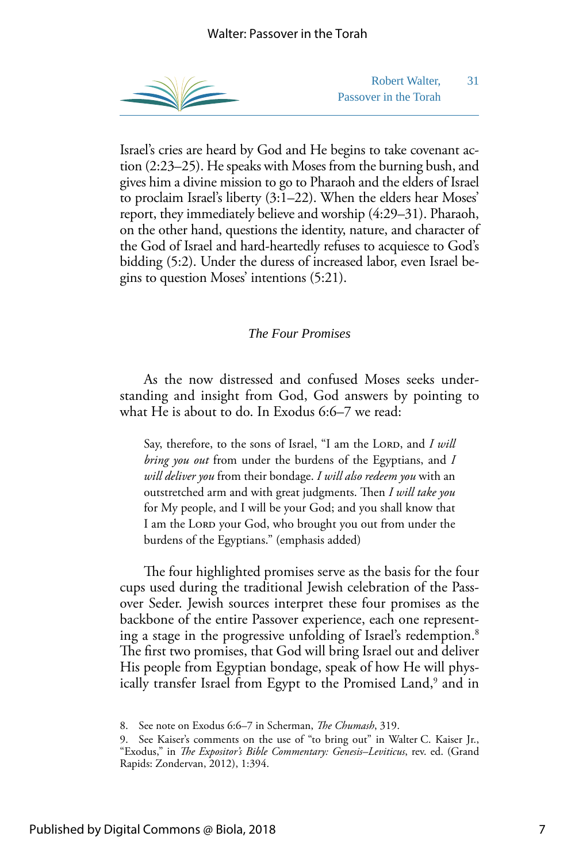

Robert Walter, 31 Passover in the Torah

Israel's cries are heard by God and He begins to take covenant action (2:23–25). He speaks with Moses from the burning bush, and gives him a divine mission to go to Pharaoh and the elders of Israel to proclaim Israel's liberty (3:1–22). When the elders hear Moses' report, they immediately believe and worship (4:29–31). Pharaoh, on the other hand, questions the identity, nature, and character of the God of Israel and hard-heartedly refuses to acquiesce to God's bidding (5:2). Under the duress of increased labor, even Israel begins to question Moses' intentions (5:21).

#### *The Four Promises*

As the now distressed and confused Moses seeks understanding and insight from God, God answers by pointing to what He is about to do. In Exodus 6:6–7 we read:

Say, therefore, to the sons of Israel, "I am the LORD, and *I will bring you out* from under the burdens of the Egyptians, and *I will deliver you* from their bondage. *I will also redeem you* with an outstretched arm and with great judgments. Then *I will take you* for My people, and I will be your God; and you shall know that I am the LORD your God, who brought you out from under the burdens of the Egyptians." (emphasis added)

The four highlighted promises serve as the basis for the four cups used during the traditional Jewish celebration of the Passover Seder. Jewish sources interpret these four promises as the backbone of the entire Passover experience, each one representing a stage in the progressive unfolding of Israel's redemption. $^8$ The first two promises, that God will bring Israel out and deliver His people from Egyptian bondage, speak of how He will physically transfer Israel from Egypt to the Promised Land,<sup>9</sup> and in

<sup>8.</sup> See note on Exodus 6:6–7 in Scherman, *The Chumash*, 319.

<sup>9.</sup> See Kaiser's comments on the use of "to bring out" in Walter C. Kaiser Jr., "Exodus," in *The Expositor's Bible Commentary: Genesis-Leviticus*, rev. ed. (Grand Rapids: Zondervan, 2012), 1:394.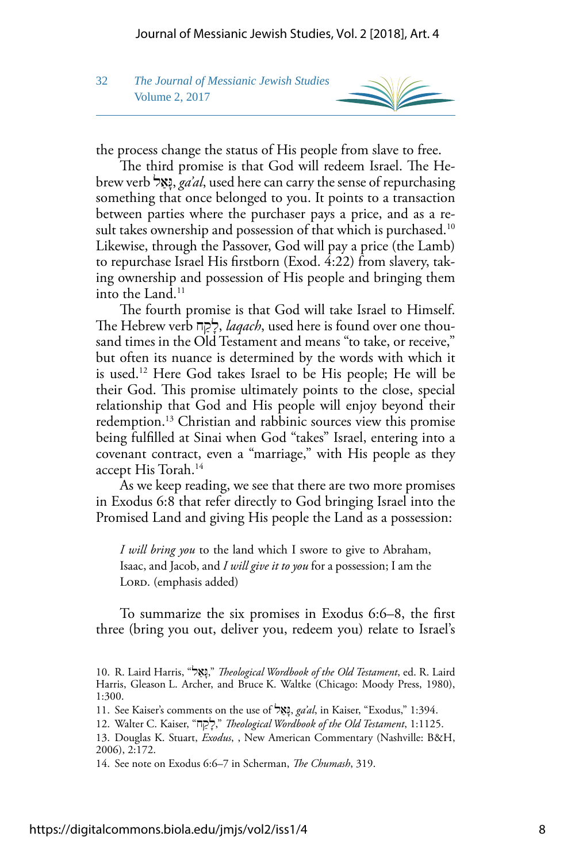

the process change the status of His people from slave to free.

The third promise is that God will redeem Israel. The Hebrew verb ָגַּלא ,*ga'al*, used here can carry the sense of repurchasing something that once belonged to you. It points to a transaction between parties where the purchaser pays a price, and as a result takes ownership and possession of that which is purchased.<sup>10</sup> Likewise, through the Passover, God will pay a price (the Lamb) to repurchase Israel His frstborn (Exod. 4:22) from slavery, taking ownership and possession of His people and bringing them into the Land. $^{11}$ 

The fourth promise is that God will take Israel to Himself. Te Hebrew verb ָלַחק , *laqach*, used here is found over one thousand times in the Old Testament and means "to take, or receive," but often its nuance is determined by the words with which it is used.12 Here God takes Israel to be His people; He will be their God. This promise ultimately points to the close, special relationship that God and His people will enjoy beyond their redemption.<sup>13</sup> Christian and rabbinic sources view this promise being fulflled at Sinai when God "takes" Israel, entering into a covenant contract, even a "marriage," with His people as they accept His Torah.<sup>14</sup>

As we keep reading, we see that there are two more promises in Exodus 6:8 that refer directly to God bringing Israel into the Promised Land and giving His people the Land as a possession:

*I will bring you* to the land which I swore to give to Abraham, Isaac, and Jacob, and *I will give it to you* for a possession; I am the LORD. (emphasis added)

To summarize the six promises in Exodus 6:6–8, the frst three (bring you out, deliver you, redeem you) relate to Israel's

11. See Kaiser's comments on the use of גַּלא ָ , *ga'al*, in Kaiser, "Exodus," 1:394.

<sup>10.</sup> R. Laird Harris, " גַּלא ָ , "*Teological Wordbook of the Old Testament*, ed. R. Laird Harris, Gleason L. Archer, and Bruce K. Waltke (Chicago: Moody Press, 1980), 1:300.

<sup>12.</sup> Walter C. Kaiser, " ָלַחק , "*Teological Wordbook of the Old Testament*, 1:1125.

<sup>13.</sup> Douglas K. Stuart, *Exodus*, , New American Commentary (Nashville: B&H, 2006), 2:172.

<sup>14.</sup> See note on Exodus 6:6–7 in Scherman, *The Chumash*, 319.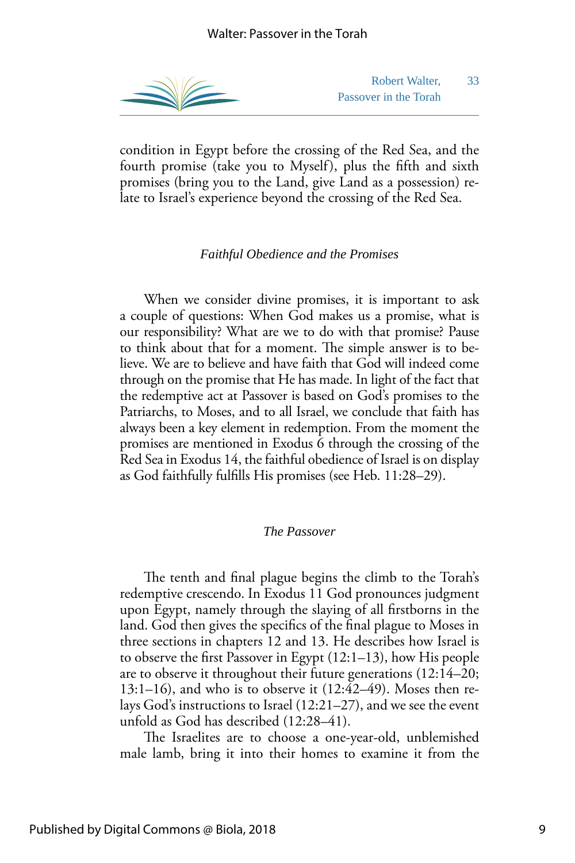

Robert Walter, 33 Passover in the Torah

condition in Egypt before the crossing of the Red Sea, and the fourth promise (take you to Myself), plus the ffth and sixth promises (bring you to the Land, give Land as a possession) relate to Israel's experience beyond the crossing of the Red Sea.

#### *Faithful Obedience and the Promises*

When we consider divine promises, it is important to ask a couple of questions: When God makes us a promise, what is our responsibility? What are we to do with that promise? Pause to think about that for a moment. The simple answer is to believe. We are to believe and have faith that God will indeed come through on the promise that He has made. In light of the fact that the redemptive act at Passover is based on God's promises to the Patriarchs, to Moses, and to all Israel, we conclude that faith has always been a key element in redemption. From the moment the promises are mentioned in Exodus 6 through the crossing of the Red Sea in Exodus 14, the faithful obedience of Israel is on display as God faithfully fulflls His promises (see Heb. 11:28–29).

#### *The Passover*

The tenth and final plague begins the climb to the Torah's redemptive crescendo. In Exodus 11 God pronounces judgment upon Egypt, namely through the slaying of all frstborns in the land. God then gives the specifcs of the fnal plague to Moses in three sections in chapters 12 and 13. He describes how Israel is to observe the frst Passover in Egypt (12:1–13), how His people are to observe it throughout their future generations (12:14–20; 13:1–16), and who is to observe it (12:42–49). Moses then relays God's instructions to Israel (12:21–27), and we see the event unfold as God has described (12:28–41).

The Israelites are to choose a one-year-old, unblemished male lamb, bring it into their homes to examine it from the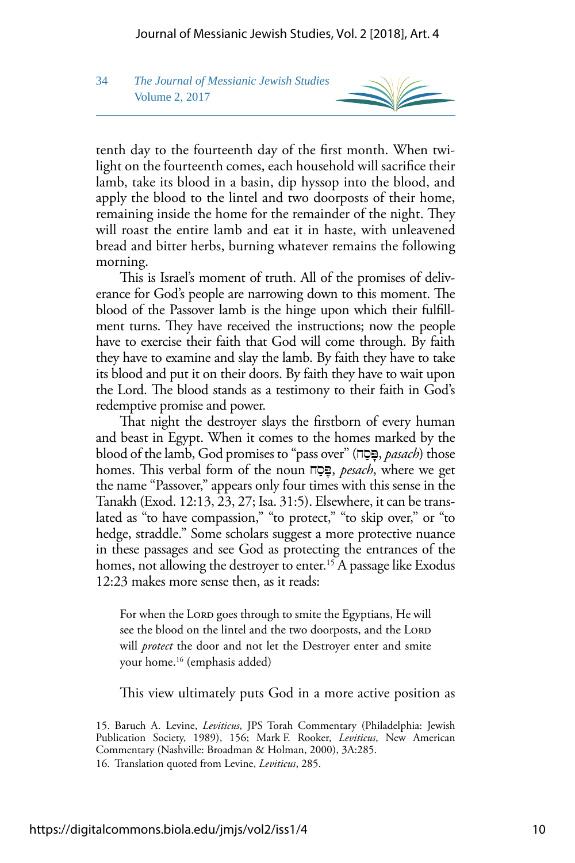## 34 *The Journal of Messianic Jewish Studies* Volume 2, 2017



tenth day to the fourteenth day of the frst month. When twilight on the fourteenth comes, each household will sacrifce their lamb, take its blood in a basin, dip hyssop into the blood, and apply the blood to the lintel and two doorposts of their home, remaining inside the home for the remainder of the night. They will roast the entire lamb and eat it in haste, with unleavened bread and bitter herbs, burning whatever remains the following morning.

This is Israel's moment of truth. All of the promises of deliverance for God's people are narrowing down to this moment. The blood of the Passover lamb is the hinge upon which their fulfllment turns. They have received the instructions; now the people have to exercise their faith that God will come through. By faith they have to examine and slay the lamb. By faith they have to take its blood and put it on their doors. By faith they have to wait upon the Lord. The blood stands as a testimony to their faith in God's redemptive promise and power.

That night the destroyer slays the firstborn of every human and beast in Egypt. When it comes to the homes marked by the blood of the lamb, God promises to "pass over" (פּסָה, *pasach*) those homes. This verbal form of the noun **ֶפּסָה**, *pesach*, where we get the name "Passover," appears only four times with this sense in the Tanakh (Exod. 12:13, 23, 27; Isa. 31:5). Elsewhere, it can be translated as "to have compassion," "to protect," "to skip over," or "to hedge, straddle." Some scholars suggest a more protective nuance in these passages and see God as protecting the entrances of the homes, not allowing the destroyer to enter.<sup>15</sup> A passage like Exodus 12:23 makes more sense then, as it reads:

For when the LORD goes through to smite the Egyptians, He will see the blood on the lintel and the two doorposts, and the LORD will *protect* the door and not let the Destroyer enter and smite your home.16 (emphasis added)

This view ultimately puts God in a more active position as

<sup>15.</sup> Baruch A. Levine, *Leviticus*, JPS Torah Commentary (Philadelphia: Jewish Publication Society, 1989), 156; Mark F. Rooker, *Leviticus*, New American Commentary (Nashville: Broadman & Holman, 2000), 3A:285. 16. Translation quoted from Levine, *Leviticus*, 285.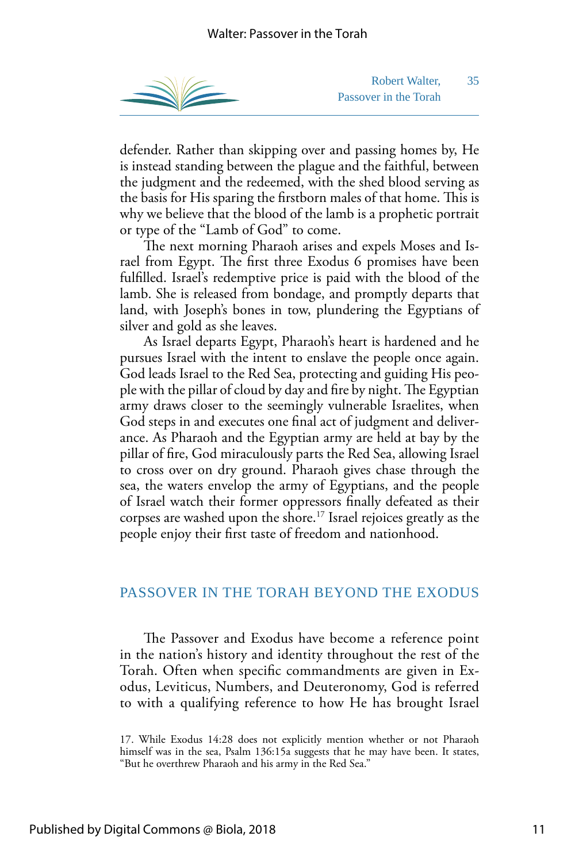

Robert Walter, 35 Passover in the Torah

defender. Rather than skipping over and passing homes by, He is instead standing between the plague and the faithful, between the judgment and the redeemed, with the shed blood serving as the basis for His sparing the firstborn males of that home. This is why we believe that the blood of the lamb is a prophetic portrait or type of the "Lamb of God" to come.

The next morning Pharaoh arises and expels Moses and Israel from Egypt. The first three Exodus 6 promises have been fulflled. Israel's redemptive price is paid with the blood of the lamb. She is released from bondage, and promptly departs that land, with Joseph's bones in tow, plundering the Egyptians of silver and gold as she leaves.

As Israel departs Egypt, Pharaoh's heart is hardened and he pursues Israel with the intent to enslave the people once again. God leads Israel to the Red Sea, protecting and guiding His people with the pillar of cloud by day and fire by night. The Egyptian army draws closer to the seemingly vulnerable Israelites, when God steps in and executes one fnal act of judgment and deliverance. As Pharaoh and the Egyptian army are held at bay by the pillar of fre, God miraculously parts the Red Sea, allowing Israel to cross over on dry ground. Pharaoh gives chase through the sea, the waters envelop the army of Egyptians, and the people of Israel watch their former oppressors fnally defeated as their corpses are washed upon the shore.17 Israel rejoices greatly as the people enjoy their frst taste of freedom and nationhood.

## PASSOVER IN THE TORAH BEYOND THE EXODUS

The Passover and Exodus have become a reference point in the nation's history and identity throughout the rest of the Torah. Often when specifc commandments are given in Exodus, Leviticus, Numbers, and Deuteronomy, God is referred to with a qualifying reference to how He has brought Israel

<sup>17.</sup> While Exodus 14:28 does not explicitly mention whether or not Pharaoh himself was in the sea, Psalm 136:15a suggests that he may have been. It states, "But he overthrew Pharaoh and his army in the Red Sea."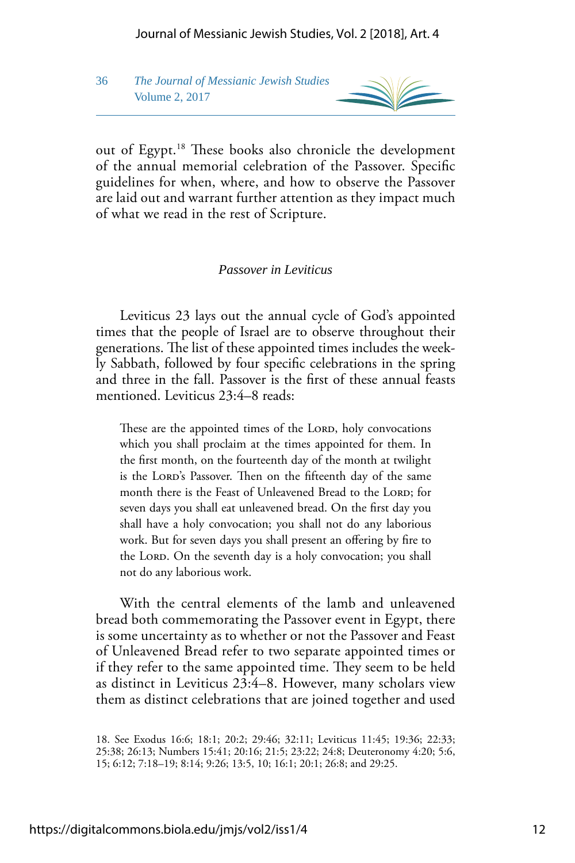36 *The Journal of Messianic Jewish Studies* Volume 2, 2017



out of Egypt.<sup>18</sup> These books also chronicle the development of the annual memorial celebration of the Passover. Specifc guidelines for when, where, and how to observe the Passover are laid out and warrant further attention as they impact much of what we read in the rest of Scripture.

#### *Passover in Leviticus*

Leviticus 23 lays out the annual cycle of God's appointed times that the people of Israel are to observe throughout their generations. The list of these appointed times includes the weekly Sabbath, followed by four specifc celebrations in the spring and three in the fall. Passover is the frst of these annual feasts mentioned. Leviticus 23:4–8 reads:

These are the appointed times of the LORD, holy convocations which you shall proclaim at the times appointed for them. In the frst month, on the fourteenth day of the month at twilight is the LORD's Passover. Then on the fifteenth day of the same month there is the Feast of Unleavened Bread to the LORD; for seven days you shall eat unleavened bread. On the frst day you shall have a holy convocation; you shall not do any laborious work. But for seven days you shall present an offering by fire to the LORD. On the seventh day is a holy convocation; you shall not do any laborious work.

With the central elements of the lamb and unleavened bread both commemorating the Passover event in Egypt, there is some uncertainty as to whether or not the Passover and Feast of Unleavened Bread refer to two separate appointed times or if they refer to the same appointed time. They seem to be held as distinct in Leviticus 23:4–8. However, many scholars view them as distinct celebrations that are joined together and used

<sup>18.</sup> See Exodus 16:6; 18:1; 20:2; 29:46; 32:11; Leviticus 11:45; 19:36; 22:33; 25:38; 26:13; Numbers 15:41; 20:16; 21:5; 23:22; 24:8; Deuteronomy 4:20; 5:6, 15; 6:12; 7:18–19; 8:14; 9:26; 13:5, 10; 16:1; 20:1; 26:8; and 29:25.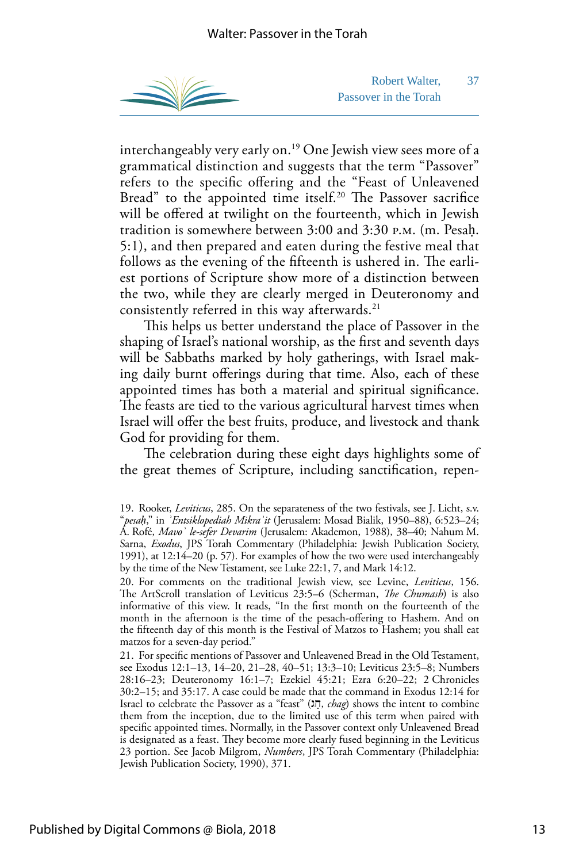

Robert Walter, 37 Passover in the Torah

interchangeably very early on.19 One Jewish view sees more of a grammatical distinction and suggests that the term "Passover" refers to the specifc ofering and the "Feast of Unleavened Bread" to the appointed time itself.<sup>20</sup> The Passover sacrifice will be offered at twilight on the fourteenth, which in Jewish tradition is somewhere between 3:00 and 3:30 p.m. (m. Pesaḥ. 5:1), and then prepared and eaten during the festive meal that follows as the evening of the fifteenth is ushered in. The earliest portions of Scripture show more of a distinction between the two, while they are clearly merged in Deuteronomy and consistently referred in this way afterwards.<sup>21</sup>

This helps us better understand the place of Passover in the shaping of Israel's national worship, as the frst and seventh days will be Sabbaths marked by holy gatherings, with Israel making daily burnt oferings during that time. Also, each of these appointed times has both a material and spiritual signifcance. The feasts are tied to the various agricultural harvest times when Israel will offer the best fruits, produce, and livestock and thank God for providing for them.

The celebration during these eight days highlights some of the great themes of Scripture, including sanctifcation, repen-

 19. Rooker, *Leviticus*, 285. On the separateness of the two festivals, see J. Licht, s.v. A. Rofé, *Mavoʾ le-sefer Devarim* (Jerusalem: Akademon, 1988), 38–40; Nahum M. "*pesaḥ*," in *ʾEntsiklopediah Mikraʾit* (Jerusalem: Mosad Bialik, 1950–88), 6:523–24; Sarna, *Exodus*, JPS Torah Commentary (Philadelphia: Jewish Publication Society, 1991), at 12:14–20 (p. 57). For examples of how the two were used interchangeably by the time of the New Testament, see Luke 22:1, 7, and Mark 14:12.

<sup>20.</sup> For comments on the traditional Jewish view, see Levine, *Leviticus*, 156. The ArtScroll translation of Leviticus 23:5-6 (Scherman, *The Chumash*) is also informative of this view. It reads, "In the frst month on the fourteenth of the month in the afternoon is the time of the pesach-ofering to Hashem. And on the ffteenth day of this month is the Festival of Matzos to Hashem; you shall eat matzos for a seven-day period."

<sup>21.</sup> For specifc mentions of Passover and Unleavened Bread in the Old Testament, see Exodus 12:1–13, 14–20, 21–28, 40–51; 13:3–10; Leviticus 23:5–8; Numbers 28:16–23; Deuteronomy 16:1–7; Ezekiel 45:21; Ezra 6:20–22; 2 Chronicles 30:2–15; and 35:17. A case could be made that the command in Exodus 12:14 for Israel to celebrate the Passover as a "feast" ( ַגח , *chag*) shows the intent to combine them from the inception, due to the limited use of this term when paired with specifc appointed times. Normally, in the Passover context only Unleavened Bread is designated as a feast. They become more clearly fused beginning in the Leviticus 23 portion. See Jacob Milgrom, *Numbers*, JPS Torah Commentary (Philadelphia: Jewish Publication Society, 1990), 371.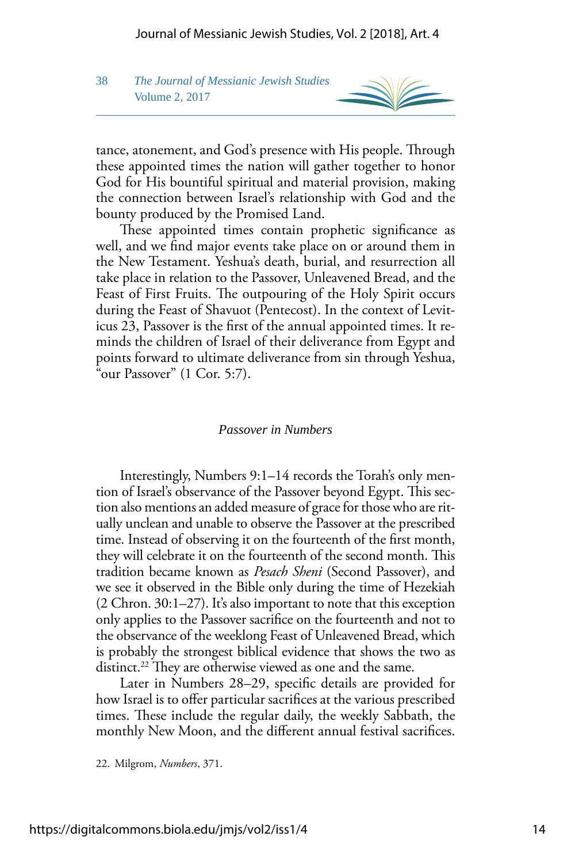## 38 *The Journal of Messianic Jewish Studies* Volume 2, 2017

tance, atonement, and God's presence with His people. Through these appointed times the nation will gather together to honor God for His bountiful spiritual and material provision, making the connection between Israel's relationship with God and the bounty produced by the Promised Land.

These appointed times contain prophetic significance as well, and we fnd major events take place on or around them in the New Testament. Yeshua's death, burial, and resurrection all take place in relation to the Passover, Unleavened Bread, and the Feast of First Fruits. The outpouring of the Holy Spirit occurs during the Feast of Shavuot (Pentecost). In the context of Leviticus 23, Passover is the frst of the annual appointed times. It reminds the children of Israel of their deliverance from Egypt and points forward to ultimate deliverance from sin through Yeshua, "our Passover" (1 Cor. 5:7).

#### *Passover in Numbers*

Interestingly, Numbers 9:1–14 records the Torah's only mention of Israel's observance of the Passover beyond Egypt. This section also mentions an added measure of grace for those who are ritually unclean and unable to observe the Passover at the prescribed time. Instead of observing it on the fourteenth of the frst month, they will celebrate it on the fourteenth of the second month. This tradition became known as *Pesach Sheni* (Second Passover), and we see it observed in the Bible only during the time of Hezekiah (2 Chron. 30:1–27). It's also important to note that this exception only applies to the Passover sacrifce on the fourteenth and not to the observance of the weeklong Feast of Unleavened Bread, which is probably the strongest biblical evidence that shows the two as distinct.<sup>22</sup> They are otherwise viewed as one and the same.

Later in Numbers 28–29, specifc details are provided for how Israel is to offer particular sacrifices at the various prescribed times. These include the regular daily, the weekly Sabbath, the monthly New Moon, and the diferent annual festival sacrifces.

22. Milgrom, *Numbers*, 371.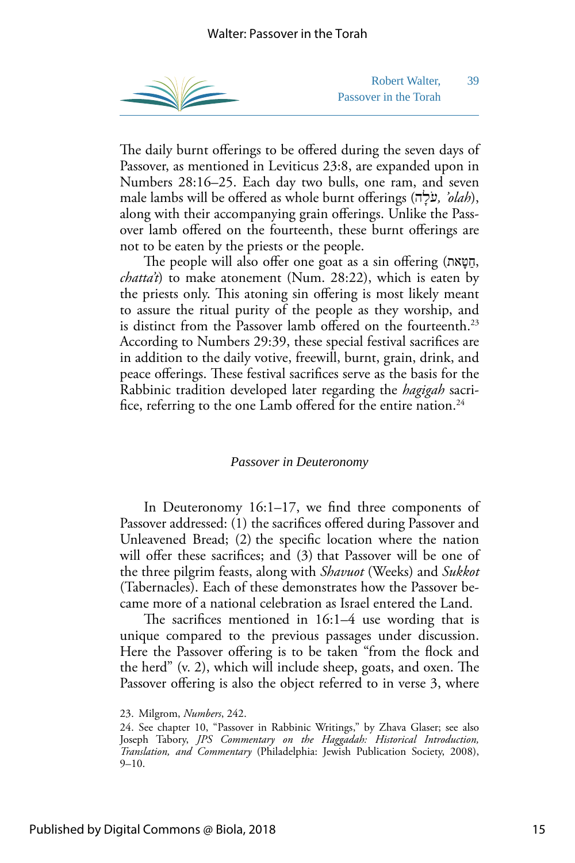

Robert Walter, 39 Passover in the Torah

The daily burnt offerings to be offered during the seven days of Passover, as mentioned in Leviticus 23:8, are expanded upon in Numbers 28:16–25. Each day two bulls, one ram, and seven male lambs will be ofered as whole burnt oferings ( ֹעָהל *,' olah*), along with their accompanying grain offerings. Unlike the Passover lamb ofered on the fourteenth, these burnt oferings are not to be eaten by the priests or the people.

The people will also offer one goat as a sin offering (חַטָּאת, *chatta't*) to make atonement (Num. 28:22), which is eaten by the priests only. This atoning sin offering is most likely meant to assure the ritual purity of the people as they worship, and is distinct from the Passover lamb offered on the fourteenth.<sup>23</sup> According to Numbers 29:39, these special festival sacrifces are in addition to the daily votive, freewill, burnt, grain, drink, and peace offerings. These festival sacrifices serve as the basis for the Rabbinic tradition developed later regarding the *hagigah* sacrifice, referring to the one Lamb offered for the entire nation. $^{24}$ 

#### *Passover in Deuteronomy*

In Deuteronomy 16:1–17, we fnd three components of Passover addressed: (1) the sacrifices offered during Passover and Unleavened Bread; (2) the specifc location where the nation will offer these sacrifices; and (3) that Passover will be one of the three pilgrim feasts, along with *Shavuot* (Weeks) and *Sukkot*  (Tabernacles). Each of these demonstrates how the Passover became more of a national celebration as Israel entered the Land.

The sacrifices mentioned in  $16:1-4$  use wording that is unique compared to the previous passages under discussion. Here the Passover offering is to be taken "from the flock and the herd"  $(v, 2)$ , which will include sheep, goats, and oxen. The Passover offering is also the object referred to in verse 3, where

<sup>23.</sup> Milgrom, *Numbers*, 242.

<sup>24.</sup> See chapter 10, "Passover in Rabbinic Writings," by Zhava Glaser; see also Joseph Tabory, *JPS Commentary on the Haggadah: Historical Introduction, Translation, and Commentary* (Philadelphia: Jewish Publication Society, 2008), 9–10.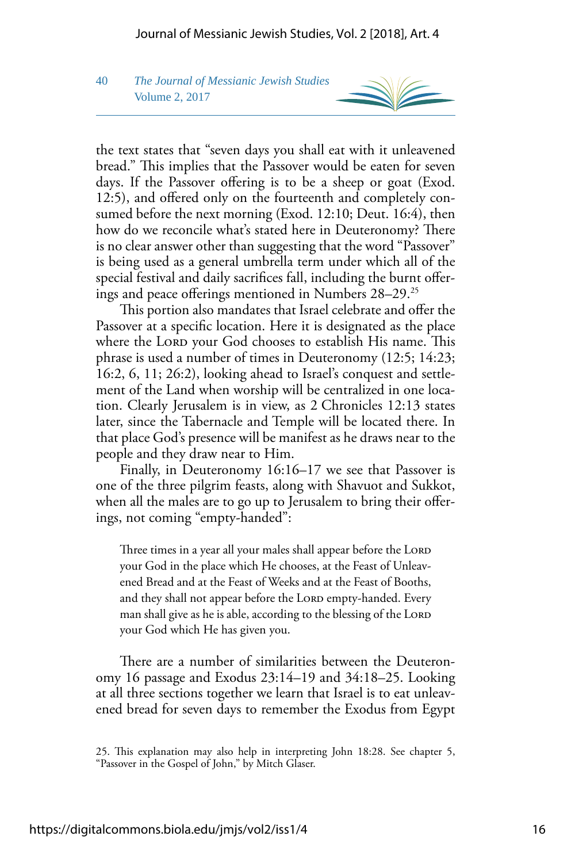# 40 *The Journal of Messianic Jewish Studies* Volume 2, 2017

the text states that "seven days you shall eat with it unleavened bread." This implies that the Passover would be eaten for seven days. If the Passover offering is to be a sheep or goat (Exod. 12:5), and offered only on the fourteenth and completely consumed before the next morning (Exod. 12:10; Deut. 16:4), then how do we reconcile what's stated here in Deuteronomy? There is no clear answer other than suggesting that the word "Passover" is being used as a general umbrella term under which all of the special festival and daily sacrifces fall, including the burnt oferings and peace offerings mentioned in Numbers 28–29.<sup>25</sup>

This portion also mandates that Israel celebrate and offer the Passover at a specifc location. Here it is designated as the place where the LORD your God chooses to establish His name. This phrase is used a number of times in Deuteronomy (12:5; 14:23; 16:2, 6, 11; 26:2), looking ahead to Israel's conquest and settlement of the Land when worship will be centralized in one location. Clearly Jerusalem is in view, as 2 Chronicles 12:13 states later, since the Tabernacle and Temple will be located there. In that place God's presence will be manifest as he draws near to the people and they draw near to Him.

Finally, in Deuteronomy 16:16–17 we see that Passover is one of the three pilgrim feasts, along with Shavuot and Sukkot, when all the males are to go up to Jerusalem to bring their oferings, not coming "empty-handed":

Three times in a year all your males shall appear before the LORD your God in the place which He chooses, at the Feast of Unleavened Bread and at the Feast of Weeks and at the Feast of Booths, and they shall not appear before the LORD empty-handed. Every man shall give as he is able, according to the blessing of the LORD your God which He has given you.

There are a number of similarities between the Deuteronomy 16 passage and Exodus 23:14–19 and 34:18–25. Looking at all three sections together we learn that Israel is to eat unleavened bread for seven days to remember the Exodus from Egypt

<sup>25.</sup> This explanation may also help in interpreting John 18:28. See chapter 5, "Passover in the Gospel of John," by Mitch Glaser.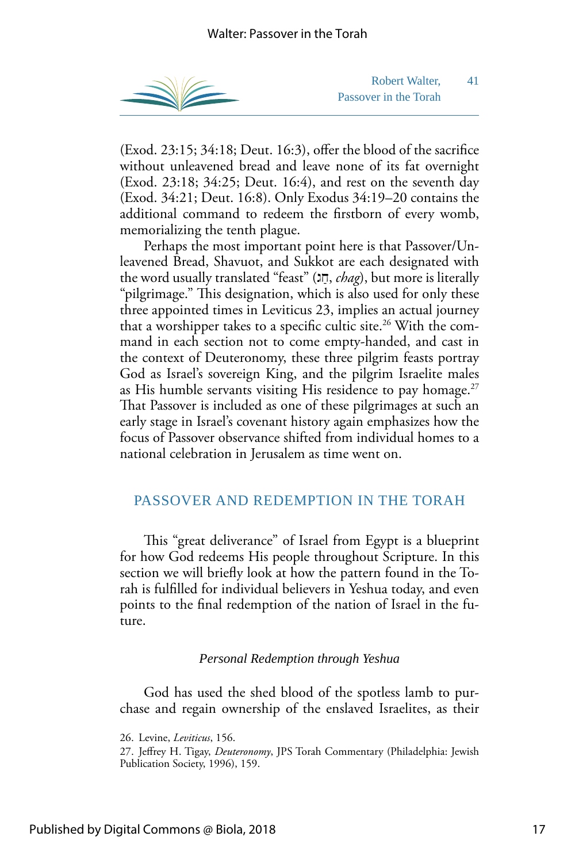

Robert Walter, 41 Passover in the Torah

(Exod. 23:15; 34:18; Deut. 16:3), offer the blood of the sacrifice without unleavened bread and leave none of its fat overnight (Exod. 23:18; 34:25; Deut. 16:4), and rest on the seventh day (Exod. 34:21; Deut. 16:8). Only Exodus 34:19–20 contains the additional command to redeem the frstborn of every womb, memorializing the tenth plague.

Perhaps the most important point here is that Passover/Unleavened Bread, Shavuot, and Sukkot are each designated with the word usually translated "feast" (חַג, chag), but more is literally "pilgrimage." This designation, which is also used for only these three appointed times in Leviticus 23, implies an actual journey that a worshipper takes to a specific cultic site.<sup>26</sup> With the command in each section not to come empty-handed, and cast in the context of Deuteronomy, these three pilgrim feasts portray God as Israel's sovereign King, and the pilgrim Israelite males as His humble servants visiting His residence to pay homage. $27$ That Passover is included as one of these pilgrimages at such an early stage in Israel's covenant history again emphasizes how the focus of Passover observance shifted from individual homes to a national celebration in Jerusalem as time went on.

### PASSOVER AND REDEMPTION IN THE TORAH

This "great deliverance" of Israel from Egypt is a blueprint for how God redeems His people throughout Scripture. In this section we will briefy look at how the pattern found in the Torah is fulflled for individual believers in Yeshua today, and even points to the fnal redemption of the nation of Israel in the future.

#### *Personal Redemption through Yeshua*

God has used the shed blood of the spotless lamb to purchase and regain ownership of the enslaved Israelites, as their

<sup>26.</sup> Levine, *Leviticus*, 156.

<sup>27.</sup> Jefrey H. Tigay, *Deuteronomy*, JPS Torah Commentary (Philadelphia: Jewish Publication Society, 1996), 159.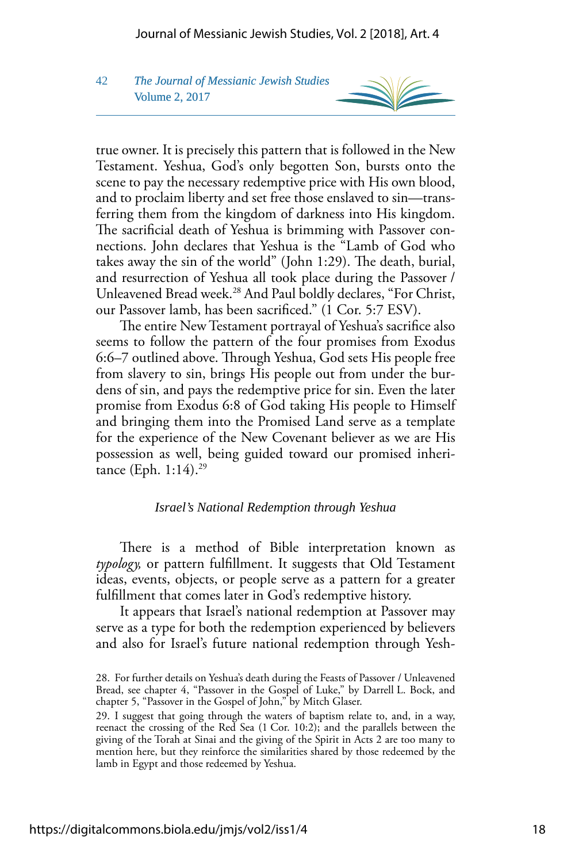# 42 *The Journal of Messianic Jewish Studies* Volume 2, 2017

true owner. It is precisely this pattern that is followed in the New Testament. Yeshua, God's only begotten Son, bursts onto the scene to pay the necessary redemptive price with His own blood, and to proclaim liberty and set free those enslaved to sin—transferring them from the kingdom of darkness into His kingdom. The sacrificial death of Yeshua is brimming with Passover connections. John declares that Yeshua is the "Lamb of God who takes away the sin of the world" (John 1:29). The death, burial, and resurrection of Yeshua all took place during the Passover / Unleavened Bread week.<sup>28</sup> And Paul boldly declares, "For Christ, our Passover lamb, has been sacrifced." (1 Cor. 5:7 ESV).

The entire New Testament portrayal of Yeshua's sacrifice also seems to follow the pattern of the four promises from Exodus 6:6–7 outlined above. Through Yeshua, God sets His people free from slavery to sin, brings His people out from under the burdens of sin, and pays the redemptive price for sin. Even the later promise from Exodus 6:8 of God taking His people to Himself and bringing them into the Promised Land serve as a template for the experience of the New Covenant believer as we are His possession as well, being guided toward our promised inheritance (Eph.  $1:14$ ).<sup>29</sup>

#### *Israel's National Redemption through Yeshua*

There is a method of Bible interpretation known as *typology,* or pattern fulfllment. It suggests that Old Testament ideas, events, objects, or people serve as a pattern for a greater fulfllment that comes later in God's redemptive history.

It appears that Israel's national redemption at Passover may serve as a type for both the redemption experienced by believers and also for Israel's future national redemption through Yesh-

<sup>28.</sup> For further details on Yeshua's death during the Feasts of Passover / Unleavened Bread, see chapter 4, "Passover in the Gospel of Luke," by Darrell L. Bock, and chapter 5, "Passover in the Gospel of John," by Mitch Glaser.

<sup>29.</sup> I suggest that going through the waters of baptism relate to, and, in a way, reenact the crossing of the Red Sea (1 Cor. 10:2); and the parallels between the giving of the Torah at Sinai and the giving of the Spirit in Acts 2 are too many to mention here, but they reinforce the similarities shared by those redeemed by the lamb in Egypt and those redeemed by Yeshua.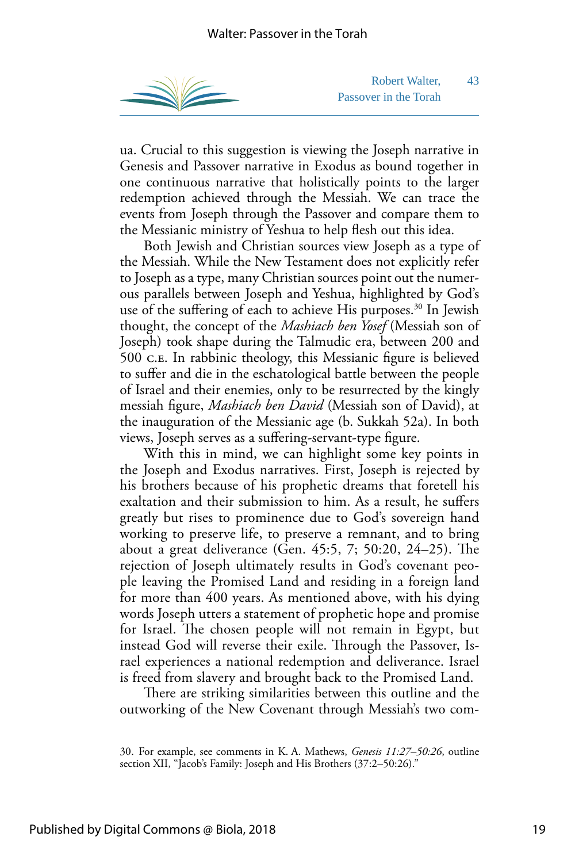

Robert Walter, 43 Passover in the Torah

ua. Crucial to this suggestion is viewing the Joseph narrative in Genesis and Passover narrative in Exodus as bound together in one continuous narrative that holistically points to the larger redemption achieved through the Messiah. We can trace the events from Joseph through the Passover and compare them to the Messianic ministry of Yeshua to help flesh out this idea.

Both Jewish and Christian sources view Joseph as a type of the Messiah. While the New Testament does not explicitly refer to Joseph as a type, many Christian sources point out the numerous parallels between Joseph and Yeshua, highlighted by God's use of the suffering of each to achieve His purposes.<sup>30</sup> In Jewish thought, the concept of the *Mashiach ben Yosef* (Messiah son of Joseph) took shape during the Talmudic era, between 200 and 500 c.e. In rabbinic theology, this Messianic fgure is believed to sufer and die in the eschatological battle between the people of Israel and their enemies, only to be resurrected by the kingly messiah fgure, *Mashiach ben David* (Messiah son of David), at the inauguration of the Messianic age (b. Sukkah 52a). In both views, Joseph serves as a sufering-servant-type fgure.

With this in mind, we can highlight some key points in the Joseph and Exodus narratives. First, Joseph is rejected by his brothers because of his prophetic dreams that foretell his exaltation and their submission to him. As a result, he sufers greatly but rises to prominence due to God's sovereign hand working to preserve life, to preserve a remnant, and to bring about a great deliverance (Gen.  $45:5, 7; 50:20, 24-25$ ). The rejection of Joseph ultimately results in God's covenant people leaving the Promised Land and residing in a foreign land for more than 400 years. As mentioned above, with his dying words Joseph utters a statement of prophetic hope and promise for Israel. The chosen people will not remain in Egypt, but instead God will reverse their exile. Through the Passover, Israel experiences a national redemption and deliverance. Israel is freed from slavery and brought back to the Promised Land.

There are striking similarities between this outline and the outworking of the New Covenant through Messiah's two com-

<sup>30.</sup> For example, see comments in K. A. Mathews, *Genesis 11:27–50:26*, outline section XII, "Jacob's Family: Joseph and His Brothers (37:2–50:26)."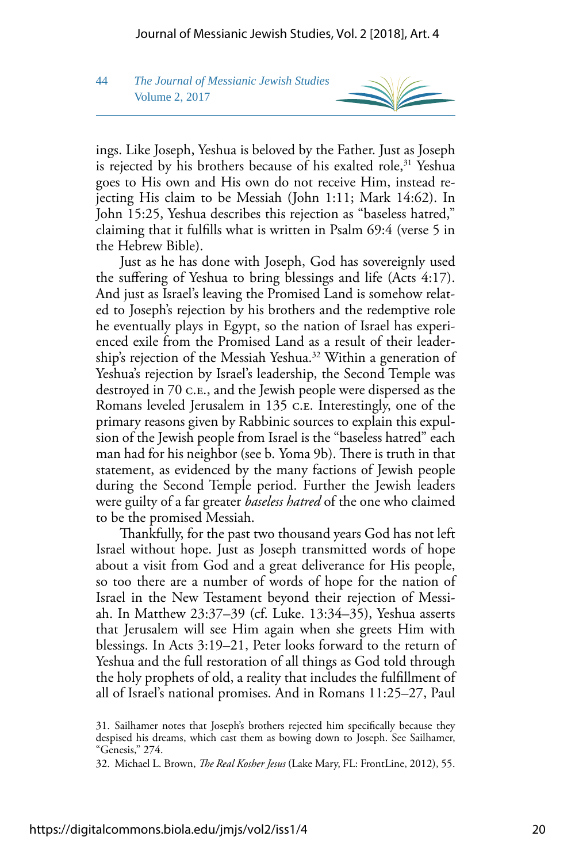## 44 *The Journal of Messianic Jewish Studies* Volume 2, 2017



ings. Like Joseph, Yeshua is beloved by the Father. Just as Joseph is rejected by his brothers because of his exalted role, $31$  Yeshua goes to His own and His own do not receive Him, instead rejecting His claim to be Messiah (John 1:11; Mark 14:62). In John 15:25, Yeshua describes this rejection as "baseless hatred," claiming that it fulflls what is written in Psalm 69:4 (verse 5 in the Hebrew Bible).

Just as he has done with Joseph, God has sovereignly used the sufering of Yeshua to bring blessings and life (Acts 4:17). And just as Israel's leaving the Promised Land is somehow related to Joseph's rejection by his brothers and the redemptive role he eventually plays in Egypt, so the nation of Israel has experienced exile from the Promised Land as a result of their leadership's rejection of the Messiah Yeshua.32 Within a generation of Yeshua's rejection by Israel's leadership, the Second Temple was destroyed in 70 c.e., and the Jewish people were dispersed as the Romans leveled Jerusalem in 135 c.e. Interestingly, one of the primary reasons given by Rabbinic sources to explain this expulsion of the Jewish people from Israel is the "baseless hatred" each man had for his neighbor (see b. Yoma 9b). There is truth in that statement, as evidenced by the many factions of Jewish people during the Second Temple period. Further the Jewish leaders were guilty of a far greater *baseless hatred* of the one who claimed to be the promised Messiah.

Tankfully, for the past two thousand years God has not left Israel without hope. Just as Joseph transmitted words of hope about a visit from God and a great deliverance for His people, so too there are a number of words of hope for the nation of Israel in the New Testament beyond their rejection of Messiah. In Matthew 23:37–39 (cf. Luke. 13:34–35), Yeshua asserts that Jerusalem will see Him again when she greets Him with blessings. In Acts 3:19–21, Peter looks forward to the return of Yeshua and the full restoration of all things as God told through the holy prophets of old, a reality that includes the fulfllment of all of Israel's national promises. And in Romans 11:25–27, Paul

<sup>31.</sup> Sailhamer notes that Joseph's brothers rejected him specifcally because they despised his dreams, which cast them as bowing down to Joseph. See Sailhamer, "Genesis," 274.

<sup>32.</sup> Michael L. Brown, *The Real Kosher Jesus* (Lake Mary, FL: FrontLine, 2012), 55.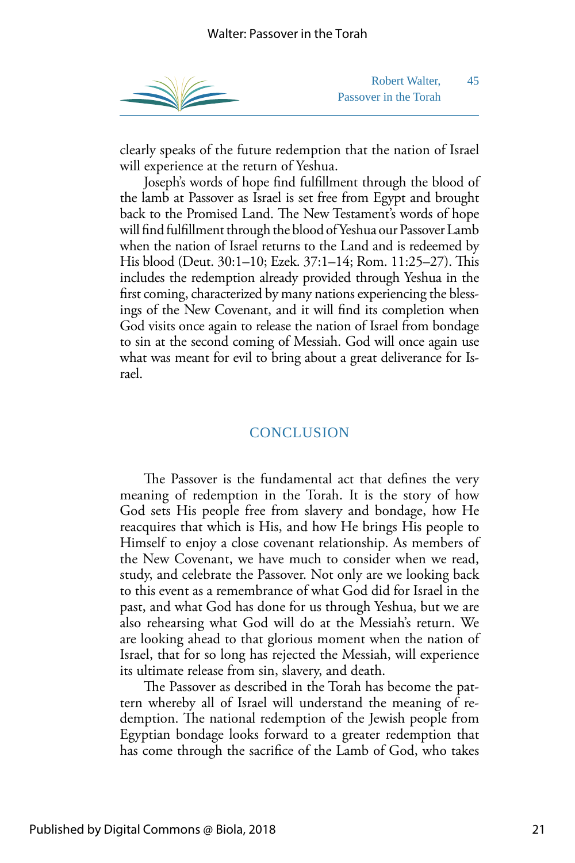

Robert Walter, 45 Passover in the Torah

clearly speaks of the future redemption that the nation of Israel will experience at the return of Yeshua.

Joseph's words of hope fnd fulfllment through the blood of the lamb at Passover as Israel is set free from Egypt and brought back to the Promised Land. The New Testament's words of hope will fnd fulfllment through the blood of Yeshua our Passover Lamb when the nation of Israel returns to the Land and is redeemed by His blood (Deut. 30:1–10; Ezek. 37:1–14; Rom. 11:25–27). Tis includes the redemption already provided through Yeshua in the frst coming, characterized by many nations experiencing the blessings of the New Covenant, and it will fnd its completion when God visits once again to release the nation of Israel from bondage to sin at the second coming of Messiah. God will once again use what was meant for evil to bring about a great deliverance for Israel.

## **CONCLUSION**

The Passover is the fundamental act that defines the very meaning of redemption in the Torah. It is the story of how God sets His people free from slavery and bondage, how He reacquires that which is His, and how He brings His people to Himself to enjoy a close covenant relationship. As members of the New Covenant, we have much to consider when we read, study, and celebrate the Passover. Not only are we looking back to this event as a remembrance of what God did for Israel in the past, and what God has done for us through Yeshua, but we are also rehearsing what God will do at the Messiah's return. We are looking ahead to that glorious moment when the nation of Israel, that for so long has rejected the Messiah, will experience its ultimate release from sin, slavery, and death.

The Passover as described in the Torah has become the pattern whereby all of Israel will understand the meaning of redemption. The national redemption of the Jewish people from Egyptian bondage looks forward to a greater redemption that has come through the sacrifce of the Lamb of God, who takes